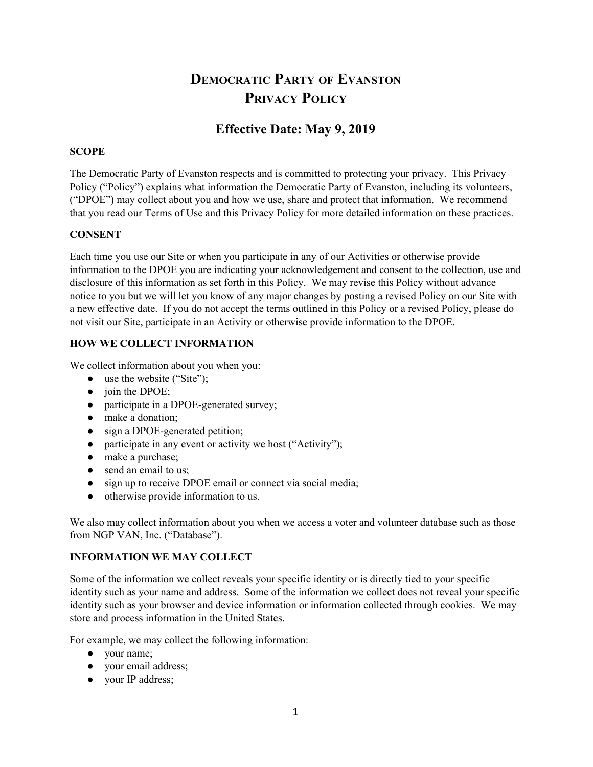# **DEMOCRATIC PARTY OF EVANSTON PRIVACY POLICY**

# **Effective Date: May 9, 2019**

# **SCOPE**

The Democratic Party of Evanston respects and is committed to protecting your privacy. This Privacy Policy ("Policy") explains what information the Democratic Party of Evanston, including its volunteers, ("DPOE") may collect about you and how we use, share and protect that information. We recommend that you read our Terms of Use and this Privacy Policy for more detailed information on these practices.

# **CONSENT**

Each time you use our Site or when you participate in any of our Activities or otherwise provide information to the DPOE you are indicating your acknowledgement and consent to the collection, use and disclosure of this information as set forth in this Policy. We may revise this Policy without advance notice to you but we will let you know of any major changes by posting a revised Policy on our Site with a new effective date. If you do not accept the terms outlined in this Policy or a revised Policy, please do not visit our Site, participate in an Activity or otherwise provide information to the DPOE.

# **HOW WE COLLECT INFORMATION**

We collect information about you when you:

- use the website ("Site");
- $\bullet$  join the DPOE;
- participate in a DPOE-generated survey;
- make a donation;
- sign a DPOE-generated petition;
- participate in any event or activity we host ("Activity");
- make a purchase;
- send an email to us:
- sign up to receive DPOE email or connect via social media;
- otherwise provide information to us.

We also may collect information about you when we access a voter and volunteer database such as those from NGP VAN, Inc. ("Database").

# **INFORMATION WE MAY COLLECT**

Some of the information we collect reveals your specific identity or is directly tied to your specific identity such as your name and address. Some of the information we collect does not reveal your specific identity such as your browser and device information or information collected through cookies. We may store and process information in the United States.

For example, we may collect the following information:

- your name;
- your email address;
- your IP address;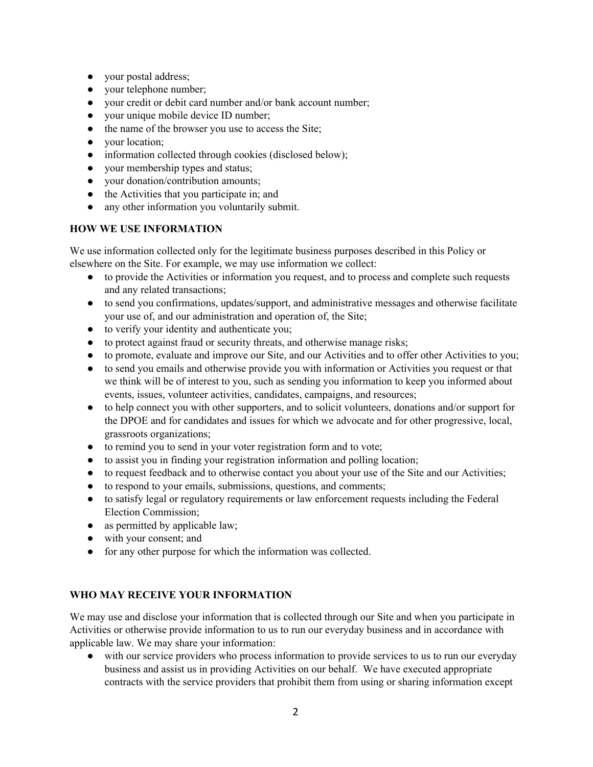- your postal address;
- your telephone number;
- your credit or debit card number and/or bank account number;
- your unique mobile device ID number;
- the name of the browser you use to access the Site;
- your location;
- information collected through cookies (disclosed below);
- your membership types and status;
- your donation/contribution amounts;
- the Activities that you participate in; and
- any other information you voluntarily submit.

#### **HOW WE USE INFORMATION**

We use information collected only for the legitimate business purposes described in this Policy or elsewhere on the Site. For example, we may use information we collect:

- to provide the Activities or information you request, and to process and complete such requests and any related transactions;
- to send you confirmations, updates/support, and administrative messages and otherwise facilitate your use of, and our administration and operation of, the Site;
- to verify your identity and authenticate you;
- to protect against fraud or security threats, and otherwise manage risks;
- to promote, evaluate and improve our Site, and our Activities and to offer other Activities to you;
- to send you emails and otherwise provide you with information or Activities you request or that we think will be of interest to you, such as sending you information to keep you informed about events, issues, volunteer activities, candidates, campaigns, and resources;
- to help connect you with other supporters, and to solicit volunteers, donations and/or support for the DPOE and for candidates and issues for which we advocate and for other progressive, local, grassroots organizations;
- to remind you to send in your voter registration form and to vote;
- to assist you in finding your registration information and polling location;
- to request feedback and to otherwise contact you about your use of the Site and our Activities;
- to respond to your emails, submissions, questions, and comments;
- to satisfy legal or regulatory requirements or law enforcement requests including the Federal Election Commission;
- as permitted by applicable law;
- with your consent; and
- for any other purpose for which the information was collected.

# **WHO MAY RECEIVE YOUR INFORMATION**

We may use and disclose your information that is collected through our Site and when you participate in Activities or otherwise provide information to us to run our everyday business and in accordance with applicable law. We may share your information:

● with our service providers who process information to provide services to us to run our everyday business and assist us in providing Activities on our behalf. We have executed appropriate contracts with the service providers that prohibit them from using or sharing information except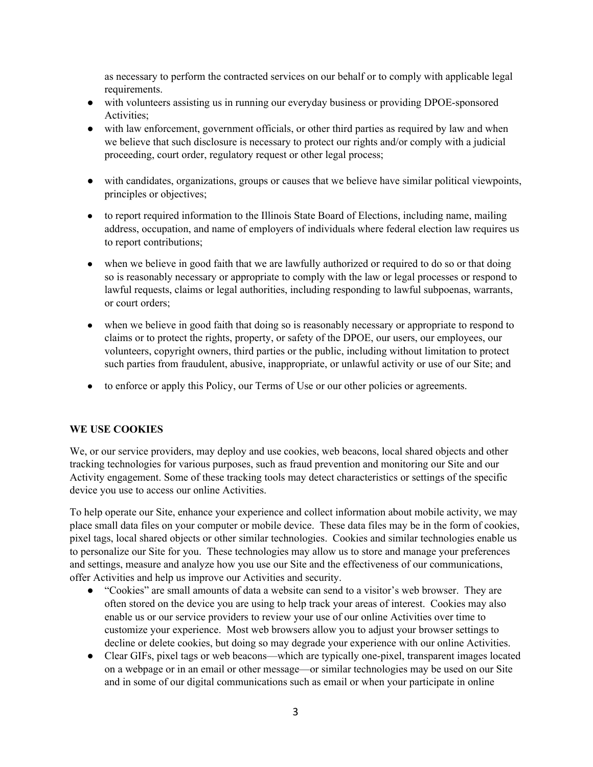as necessary to perform the contracted services on our behalf or to comply with applicable legal requirements.

- with volunteers assisting us in running our everyday business or providing DPOE-sponsored Activities;
- with law enforcement, government officials, or other third parties as required by law and when we believe that such disclosure is necessary to protect our rights and/or comply with a judicial proceeding, court order, regulatory request or other legal process;
- with candidates, organizations, groups or causes that we believe have similar political viewpoints, principles or objectives;
- to report required information to the Illinois State Board of Elections, including name, mailing address, occupation, and name of employers of individuals where federal election law requires us to report contributions;
- when we believe in good faith that we are lawfully authorized or required to do so or that doing so is reasonably necessary or appropriate to comply with the law or legal processes or respond to lawful requests, claims or legal authorities, including responding to lawful subpoenas, warrants, or court orders;
- when we believe in good faith that doing so is reasonably necessary or appropriate to respond to claims or to protect the rights, property, or safety of the DPOE, our users, our employees, our volunteers, copyright owners, third parties or the public, including without limitation to protect such parties from fraudulent, abusive, inappropriate, or unlawful activity or use of our Site; and
- to enforce or apply this Policy, our Terms of Use or our other policies or agreements.

# **WE USE COOKIES**

We, or our service providers, may deploy and use cookies, web beacons, local shared objects and other tracking technologies for various purposes, such as fraud prevention and monitoring our Site and our Activity engagement. Some of these tracking tools may detect characteristics or settings of the specific device you use to access our online Activities.

To help operate our Site, enhance your experience and collect information about mobile activity, we may place small data files on your computer or mobile device. These data files may be in the form of cookies, pixel tags, local shared objects or other similar technologies. Cookies and similar technologies enable us to personalize our Site for you. These technologies may allow us to store and manage your preferences and settings, measure and analyze how you use our Site and the effectiveness of our communications, offer Activities and help us improve our Activities and security.

- "Cookies" are small amounts of data a website can send to a visitor's web browser. They are often stored on the device you are using to help track your areas of interest. Cookies may also enable us or our service providers to review your use of our online Activities over time to customize your experience. Most web browsers allow you to adjust your browser settings to decline or delete cookies, but doing so may degrade your experience with our online Activities.
- Clear GIFs, pixel tags or web beacons—which are typically one-pixel, transparent images located on a webpage or in an email or other message—or similar technologies may be used on our Site and in some of our digital communications such as email or when your participate in online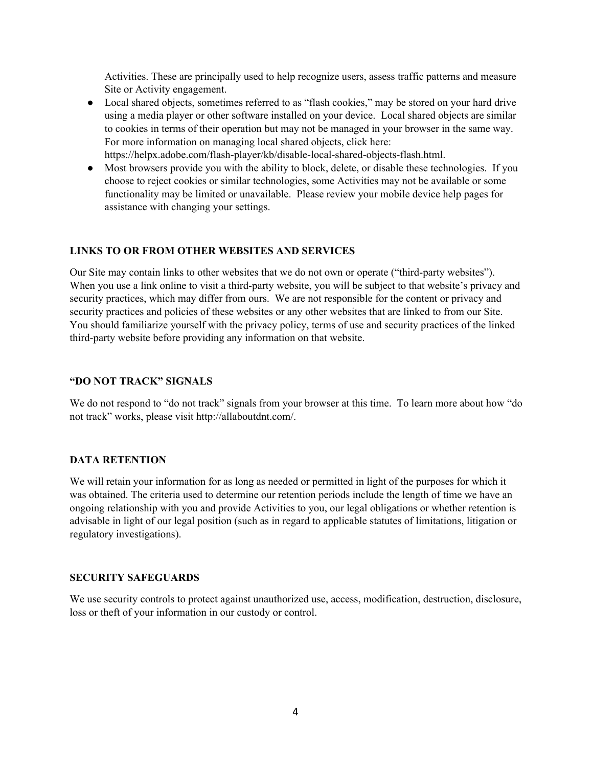Activities. These are principally used to help recognize users, assess traffic patterns and measure Site or Activity engagement.

● Local shared objects, sometimes referred to as "flash cookies," may be stored on your hard drive using a media player or other software installed on your device. Local shared objects are similar to cookies in terms of their operation but may not be managed in your browser in the same way. For more information on managing local shared objects, click here:

https://helpx.adobe.com/flash-player/kb/disable-local-shared-objects-flash.html.

● Most browsers provide you with the ability to block, delete, or disable these technologies. If you choose to reject cookies or similar technologies, some Activities may not be available or some functionality may be limited or unavailable. Please review your mobile device help pages for assistance with changing your settings.

# **LINKS TO OR FROM OTHER WEBSITES AND SERVICES**

Our Site may contain links to other websites that we do not own or operate ("third-party websites"). When you use a link online to visit a third-party website, you will be subject to that website's privacy and security practices, which may differ from ours. We are not responsible for the content or privacy and security practices and policies of these websites or any other websites that are linked to from our Site. You should familiarize yourself with the privacy policy, terms of use and security practices of the linked third-party website before providing any information on that website.

#### **"DO NOT TRACK" SIGNALS**

We do not respond to "do not track" signals from your browser at this time. To learn more about how "do not track" works, please visit [http://allaboutdnt.com/](http://allaboutdnt.com/?lift_campaign_osid-11=signup-slider&lift_option_set_osid-11=signup-slider-text-revisited&lift_decision_osid-11=control-variation).

#### **DATA RETENTION**

We will retain your information for as long as needed or permitted in light of the purposes for which it was obtained. The criteria used to determine our retention periods include the length of time we have an ongoing relationship with you and provide Activities to you, our legal obligations or whether retention is advisable in light of our legal position (such as in regard to applicable statutes of limitations, litigation or regulatory investigations).

#### **SECURITY SAFEGUARDS**

We use security controls to protect against unauthorized use, access, modification, destruction, disclosure, loss or theft of your information in our custody or control.